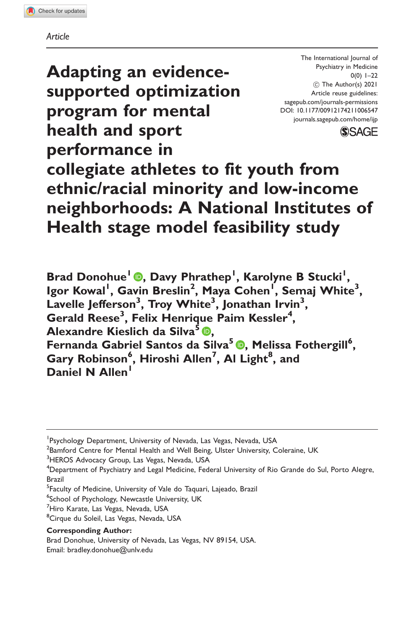Adapting an evidencesupported optimization program for mental health and sport performance in

The International Journal of Psychiatry in Medicine  $0(0)$  1–22 ! The Author(s) 2021 Article reuse guidelines: [sagepub.com/journals-permissions](http://us.sagepub.com/en-us/journals-permissions) [DOI: 10.1177/00912174211006547](http://dx.doi.org/10.1177/00912174211006547) <journals.sagepub.com/home/ijp>



# collegiate athletes to fit youth from ethnic/racial minority and low-income neighborhoods: A National Institutes of Health stage model feasibility study

Brad Donohue<sup>1</sup> [,](https://orcid.org/0000-0003-1261-0749) Davy Phrathep<sup>1</sup> , Karolyne B Stucki<sup>1</sup> , Igor Kowal<sup>l</sup>, Gavin Breslin<sup>2</sup>, Maya Cohen<sup>l</sup>, Semaj White<sup>3</sup>, Lavelle Jefferson<sup>3</sup>, Troy White<sup>3</sup>, Jonathan Irvin<sup>3</sup>, Gerald Reese<sup>3</sup>, Felix Henrique Paim Kessler<sup>4</sup>, Alexandre Kieslich da Silva<sup>5</sup> . Fernanda Gabriel Santos da Silva<sup>5</sup> ®[,](https://orcid.org/0000-0002-2454-2870) Melissa Fothergill<sup>6</sup>, Gary Robinson<sup>6</sup>, Hiroshi Allen<sup>7</sup>, Al Light<sup>8</sup>, and Daniel N Allen<sup>1</sup>

- <sup>5</sup>Faculty of Medicine, University of Vale do Taquari, Lajeado, Brazil
- <sup>6</sup>School of Psychology, Newcastle University, UK
- <sup>7</sup>Hiro Karate, Las Vegas, Nevada, USA
- <sup>8</sup>Cirque du Soleil, Las Vegas, Nevada, USA

### Corresponding Author:

Brad Donohue, University of Nevada, Las Vegas, NV 89154, USA. Email: [bradley.donohue@unlv.edu](mailto:bradley.donohue@unlv.edu)

<sup>&</sup>lt;sup>1</sup> Psychology Department, University of Nevada, Las Vegas, Nevada, USA

<sup>&</sup>lt;sup>2</sup> Bamford Centre for Mental Health and Well Being, Ulster University, Coleraine, UK

<sup>&</sup>lt;sup>3</sup>HEROS Advocacy Group, Las Vegas, Nevada, USA

 $^4$ Department of Psychiatry and Legal Medicine, Federal University of Rio Grande do Sul, Porto Alegre, Brazil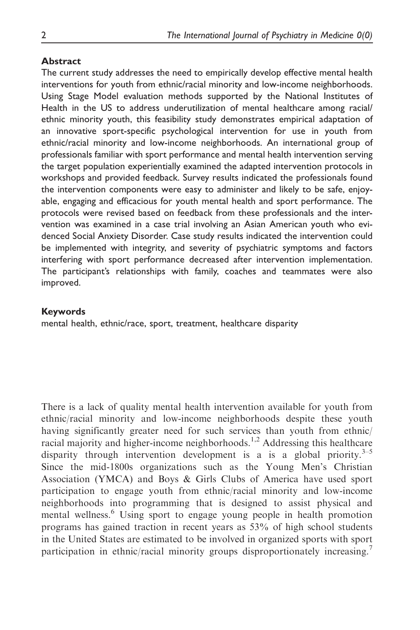### Abstract

The current study addresses the need to empirically develop effective mental health interventions for youth from ethnic/racial minority and low-income neighborhoods. Using Stage Model evaluation methods supported by the National Institutes of Health in the US to address underutilization of mental healthcare among racial/ ethnic minority youth, this feasibility study demonstrates empirical adaptation of an innovative sport-specific psychological intervention for use in youth from ethnic/racial minority and low-income neighborhoods. An international group of professionals familiar with sport performance and mental health intervention serving the target population experientially examined the adapted intervention protocols in workshops and provided feedback. Survey results indicated the professionals found the intervention components were easy to administer and likely to be safe, enjoyable, engaging and efficacious for youth mental health and sport performance. The protocols were revised based on feedback from these professionals and the intervention was examined in a case trial involving an Asian American youth who evidenced Social Anxiety Disorder. Case study results indicated the intervention could be implemented with integrity, and severity of psychiatric symptoms and factors interfering with sport performance decreased after intervention implementation. The participant's relationships with family, coaches and teammates were also improved.

### Keywords

mental health, ethnic/race, sport, treatment, healthcare disparity

There is a lack of quality mental health intervention available for youth from ethnic/racial minority and low-income neighborhoods despite these youth having significantly greater need for such services than youth from ethnic/ racial majority and higher-income neighborhoods.<sup>1,2</sup> Addressing this healthcare disparity through intervention development is a is a global priority.<sup>3–5</sup> Since the mid-1800s organizations such as the Young Men's Christian Association (YMCA) and Boys & Girls Clubs of America have used sport participation to engage youth from ethnic/racial minority and low-income neighborhoods into programming that is designed to assist physical and mental wellness.<sup>6</sup> Using sport to engage young people in health promotion programs has gained traction in recent years as 53% of high school students in the United States are estimated to be involved in organized sports with sport participation in ethnic/racial minority groups disproportionately increasing.<sup>7</sup>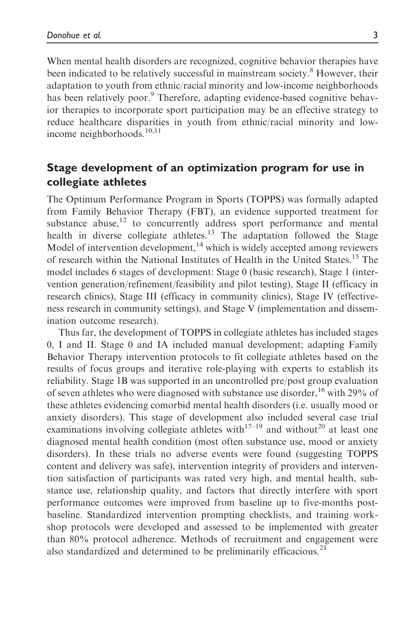When mental health disorders are recognized, cognitive behavior therapies have been indicated to be relatively successful in mainstream society.<sup>8</sup> However, their adaptation to youth from ethnic/racial minority and low-income neighborhoods has been relatively poor.<sup>9</sup> Therefore, adapting evidence-based cognitive behavior therapies to incorporate sport participation may be an effective strategy to reduce healthcare disparities in youth from ethnic/racial minority and lowincome neighborhoods.<sup>10,11</sup>

# Stage development of an optimization program for use in collegiate athletes

The Optimum Performance Program in Sports (TOPPS) was formally adapted from Family Behavior Therapy (FBT), an evidence supported treatment for substance abuse,<sup>12</sup> to concurrently address sport performance and mental health in diverse collegiate athletes.<sup>13</sup> The adaptation followed the Stage Model of intervention development, $14$  which is widely accepted among reviewers of research within the National Institutes of Health in the United States.<sup>15</sup> The model includes 6 stages of development: Stage 0 (basic research), Stage 1 (intervention generation/refinement/feasibility and pilot testing), Stage II (efficacy in research clinics), Stage III (efficacy in community clinics), Stage IV (effectiveness research in community settings), and Stage V (implementation and dissemination outcome research).

Thus far, the development of TOPPS in collegiate athletes has included stages 0, I and II. Stage 0 and IA included manual development; adapting Family Behavior Therapy intervention protocols to fit collegiate athletes based on the results of focus groups and iterative role-playing with experts to establish its reliability. Stage 1B was supported in an uncontrolled pre/post group evaluation of seven athletes who were diagnosed with substance use disorder,  $16$  with 29% of these athletes evidencing comorbid mental health disorders (i.e. usually mood or anxiety disorders). This stage of development also included several case trial examinations involving collegiate athletes with<sup>17–19</sup> and without<sup>20</sup> at least one diagnosed mental health condition (most often substance use, mood or anxiety disorders). In these trials no adverse events were found (suggesting TOPPS content and delivery was safe), intervention integrity of providers and intervention satisfaction of participants was rated very high, and mental health, substance use, relationship quality, and factors that directly interfere with sport performance outcomes were improved from baseline up to five-months postbaseline. Standardized intervention prompting checklists, and training workshop protocols were developed and assessed to be implemented with greater than 80% protocol adherence. Methods of recruitment and engagement were also standardized and determined to be preliminarily efficacious.<sup>21</sup>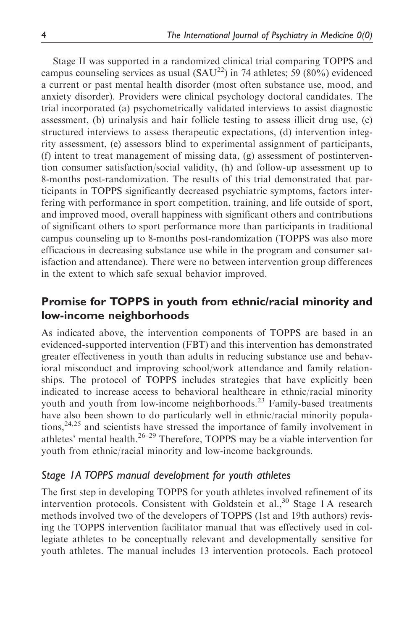Stage II was supported in a randomized clinical trial comparing TOPPS and campus counseling services as usual  $(SAU^{22})$  in 74 athletes; 59 (80%) evidenced a current or past mental health disorder (most often substance use, mood, and anxiety disorder). Providers were clinical psychology doctoral candidates. The trial incorporated (a) psychometrically validated interviews to assist diagnostic assessment, (b) urinalysis and hair follicle testing to assess illicit drug use, (c) structured interviews to assess therapeutic expectations, (d) intervention integrity assessment, (e) assessors blind to experimental assignment of participants, (f) intent to treat management of missing data, (g) assessment of postintervention consumer satisfaction/social validity, (h) and follow-up assessment up to 8-months post-randomization. The results of this trial demonstrated that participants in TOPPS significantly decreased psychiatric symptoms, factors interfering with performance in sport competition, training, and life outside of sport, and improved mood, overall happiness with significant others and contributions of significant others to sport performance more than participants in traditional campus counseling up to 8-months post-randomization (TOPPS was also more efficacious in decreasing substance use while in the program and consumer satisfaction and attendance). There were no between intervention group differences in the extent to which safe sexual behavior improved.

# Promise for TOPPS in youth from ethnic/racial minority and low-income neighborhoods

As indicated above, the intervention components of TOPPS are based in an evidenced-supported intervention (FBT) and this intervention has demonstrated greater effectiveness in youth than adults in reducing substance use and behavioral misconduct and improving school/work attendance and family relationships. The protocol of TOPPS includes strategies that have explicitly been indicated to increase access to behavioral healthcare in ethnic/racial minority youth and youth from low-income neighborhoods.<sup>23</sup> Family-based treatments have also been shown to do particularly well in ethnic/racial minority populations,<sup>24,25</sup> and scientists have stressed the importance of family involvement in athletes' mental health.<sup>26–29</sup> Therefore, TOPPS may be a viable intervention for youth from ethnic/racial minority and low-income backgrounds.

# Stage 1A TOPPS manual development for youth athletes

The first step in developing TOPPS for youth athletes involved refinement of its intervention protocols. Consistent with Goldstein et al.,<sup>30</sup> Stage 1A research methods involved two of the developers of TOPPS (1st and 19th authors) revising the TOPPS intervention facilitator manual that was effectively used in collegiate athletes to be conceptually relevant and developmentally sensitive for youth athletes. The manual includes 13 intervention protocols. Each protocol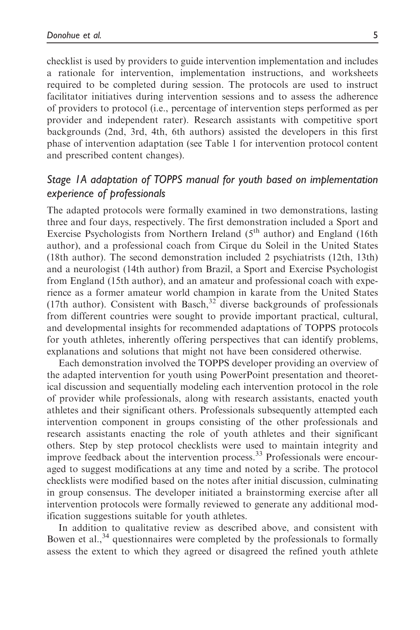checklist is used by providers to guide intervention implementation and includes a rationale for intervention, implementation instructions, and worksheets required to be completed during session. The protocols are used to instruct facilitator initiatives during intervention sessions and to assess the adherence of providers to protocol (i.e., percentage of intervention steps performed as per provider and independent rater). Research assistants with competitive sport backgrounds (2nd, 3rd, 4th, 6th authors) assisted the developers in this first phase of intervention adaptation (see Table 1 for intervention protocol content and prescribed content changes).

# Stage 1A adaptation of TOPPS manual for youth based on implementation experience of professionals

The adapted protocols were formally examined in two demonstrations, lasting three and four days, respectively. The first demonstration included a Sport and Exercise Psychologists from Northern Ireland  $(5<sup>th</sup>$  author) and England (16th author), and a professional coach from Cirque du Soleil in the United States (18th author). The second demonstration included 2 psychiatrists (12th, 13th) and a neurologist (14th author) from Brazil, a Sport and Exercise Psychologist from England (15th author), and an amateur and professional coach with experience as a former amateur world champion in karate from the United States (17th author). Consistent with Basch, $32$  diverse backgrounds of professionals from different countries were sought to provide important practical, cultural, and developmental insights for recommended adaptations of TOPPS protocols for youth athletes, inherently offering perspectives that can identify problems, explanations and solutions that might not have been considered otherwise.

Each demonstration involved the TOPPS developer providing an overview of the adapted intervention for youth using PowerPoint presentation and theoretical discussion and sequentially modeling each intervention protocol in the role of provider while professionals, along with research assistants, enacted youth athletes and their significant others. Professionals subsequently attempted each intervention component in groups consisting of the other professionals and research assistants enacting the role of youth athletes and their significant others. Step by step protocol checklists were used to maintain integrity and improve feedback about the intervention process.<sup>33</sup> Professionals were encouraged to suggest modifications at any time and noted by a scribe. The protocol checklists were modified based on the notes after initial discussion, culminating in group consensus. The developer initiated a brainstorming exercise after all intervention protocols were formally reviewed to generate any additional modification suggestions suitable for youth athletes.

In addition to qualitative review as described above, and consistent with Bowen et al.,  $34$  questionnaires were completed by the professionals to formally assess the extent to which they agreed or disagreed the refined youth athlete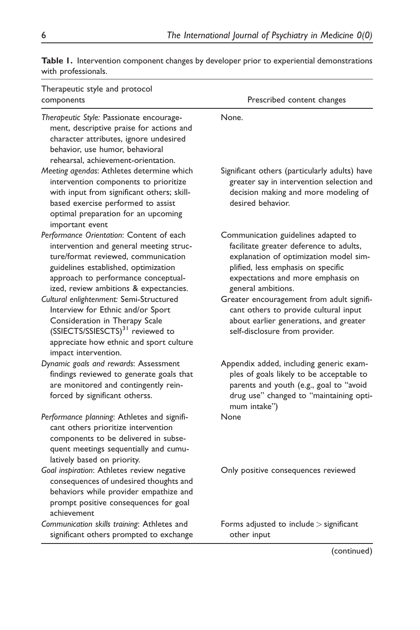| Therapeutic style and protocol<br>components                                                                                                                                                                                                        | Prescribed content changes                                                                                                                                                                                                |
|-----------------------------------------------------------------------------------------------------------------------------------------------------------------------------------------------------------------------------------------------------|---------------------------------------------------------------------------------------------------------------------------------------------------------------------------------------------------------------------------|
| Therapeutic Style: Passionate encourage-<br>ment, descriptive praise for actions and<br>character attributes, ignore undesired<br>behavior, use humor, behavioral<br>rehearsal, achievement-orientation.                                            | None.                                                                                                                                                                                                                     |
| Meeting agendas: Athletes determine which<br>intervention components to prioritize<br>with input from significant others; skill-<br>based exercise performed to assist<br>optimal preparation for an upcoming<br>important event                    | Significant others (particularly adults) have<br>greater say in intervention selection and<br>decision making and more modeling of<br>desired behavior.                                                                   |
| Performance Orientation: Content of each<br>intervention and general meeting struc-<br>ture/format reviewed, communication<br>guidelines established, optimization<br>approach to performance conceptual-<br>ized, review ambitions & expectancies. | Communication guidelines adapted to<br>facilitate greater deference to adults,<br>explanation of optimization model sim-<br>plified, less emphasis on specific<br>expectations and more emphasis on<br>general ambitions. |
| Cultural enlightenment: Semi-Structured<br>Interview for Ethnic and/or Sport<br>Consideration in Therapy Scale<br>(SSIECTS/SSIESCTS) <sup>31</sup> reviewed to<br>appreciate how ethnic and sport culture<br>impact intervention.                   | Greater encouragement from adult signifi-<br>cant others to provide cultural input<br>about earlier generations, and greater<br>self-disclosure from provider.                                                            |
| Dynamic goals and rewards: Assessment<br>findings reviewed to generate goals that<br>are monitored and contingently rein-<br>forced by significant otherss.                                                                                         | Appendix added, including generic exam-<br>ples of goals likely to be acceptable to<br>parents and youth (e.g., goal to "avoid<br>drug use" changed to "maintaining opti-<br>mum intake")                                 |
| Performance planning: Athletes and signifi-<br>cant others prioritize intervention<br>components to be delivered in subse-<br>quent meetings sequentially and cumu-<br>latively based on priority.                                                  | None                                                                                                                                                                                                                      |
| Goal inspiration: Athletes review negative<br>consequences of undesired thoughts and<br>behaviors while provider empathize and<br>prompt positive consequences for goal<br>achievement                                                              | Only positive consequences reviewed                                                                                                                                                                                       |
| Communication skills training: Athletes and<br>significant others prompted to exchange                                                                                                                                                              | Forms adjusted to include > significant<br>other input                                                                                                                                                                    |

Table 1. Intervention component changes by developer prior to experiential demonstrations with professionals.

(continued)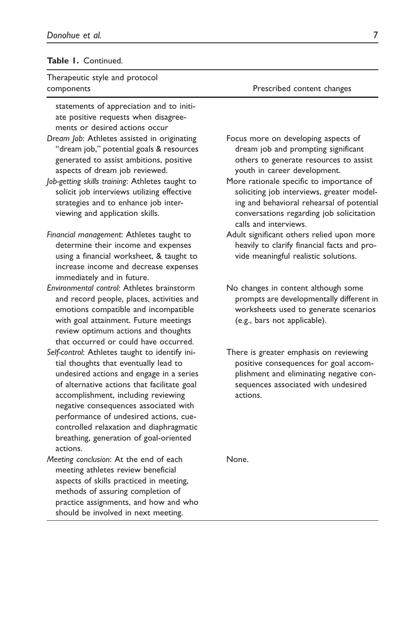### Table 1. Continued.

### Therapeutic style and protocol components Prescribed content changes

statements of appreciation and to initiate positive requests when disagreements or desired actions occur

- Dream Job: Athletes assisted in originating "dream job," potential goals & resources generated to assist ambitions, positive aspects of dream job reviewed.
- Job-getting skills training: Athletes taught to solicit job interviews utilizing effective strategies and to enhance job interviewing and application skills.
- Financial management: Athletes taught to determine their income and expenses using a financial worksheet, & taught to increase income and decrease expenses immediately and in future.
- Environmental control: Athletes brainstorm and record people, places, activities and emotions compatible and incompatible with goal attainment. Future meetings review optimum actions and thoughts that occurred or could have occurred.
- Self-control: Athletes taught to identify initial thoughts that eventually lead to undesired actions and engage in a series of alternative actions that facilitate goal accomplishment, including reviewing negative consequences associated with performance of undesired actions, cuecontrolled relaxation and diaphragmatic breathing, generation of goal-oriented actions.
- Meeting conclusion: At the end of each meeting athletes review beneficial aspects of skills practiced in meeting, methods of assuring completion of practice assignments, and how and who should be involved in next meeting.

- Focus more on developing aspects of dream job and prompting significant others to generate resources to assist youth in career development.
- More rationale specific to importance of soliciting job interviews, greater modeling and behavioral rehearsal of potential conversations regarding job solicitation calls and interviews.
- Adult significant others relied upon more heavily to clarify financial facts and provide meaningful realistic solutions.
- No changes in content although some prompts are developmentally different in worksheets used to generate scenarios (e.g., bars not applicable).
- There is greater emphasis on reviewing positive consequences for goal accomplishment and eliminating negative consequences associated with undesired actions.

None.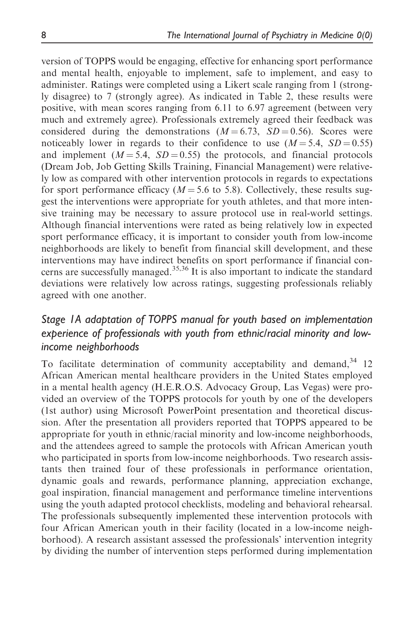version of TOPPS would be engaging, effective for enhancing sport performance and mental health, enjoyable to implement, safe to implement, and easy to administer. Ratings were completed using a Likert scale ranging from 1 (strongly disagree) to 7 (strongly agree). As indicated in Table 2, these results were positive, with mean scores ranging from 6.11 to 6.97 agreement (between very much and extremely agree). Professionals extremely agreed their feedback was considered during the demonstrations  $(M = 6.73, SD = 0.56)$ . Scores were noticeably lower in regards to their confidence to use  $(M = 5.4, SD = 0.55)$ and implement  $(M = 5.4, SD = 0.55)$  the protocols, and financial protocols (Dream Job, Job Getting Skills Training, Financial Management) were relatively low as compared with other intervention protocols in regards to expectations for sport performance efficacy ( $M = 5.6$  to 5.8). Collectively, these results suggest the interventions were appropriate for youth athletes, and that more intensive training may be necessary to assure protocol use in real-world settings. Although financial interventions were rated as being relatively low in expected sport performance efficacy, it is important to consider youth from low-income neighborhoods are likely to benefit from financial skill development, and these interventions may have indirect benefits on sport performance if financial concerns are successfully managed.<sup>35,36</sup> It is also important to indicate the standard deviations were relatively low across ratings, suggesting professionals reliably agreed with one another.

# Stage 1A adaptation of TOPPS manual for youth based on implementation experience of professionals with youth from ethnic/racial minority and lowincome neighborhoods

To facilitate determination of community acceptability and demand,  $34$  12 African American mental healthcare providers in the United States employed in a mental health agency (H.E.R.O.S. Advocacy Group, Las Vegas) were provided an overview of the TOPPS protocols for youth by one of the developers (1st author) using Microsoft PowerPoint presentation and theoretical discussion. After the presentation all providers reported that TOPPS appeared to be appropriate for youth in ethnic/racial minority and low-income neighborhoods, and the attendees agreed to sample the protocols with African American youth who participated in sports from low-income neighborhoods. Two research assistants then trained four of these professionals in performance orientation, dynamic goals and rewards, performance planning, appreciation exchange, goal inspiration, financial management and performance timeline interventions using the youth adapted protocol checklists, modeling and behavioral rehearsal. The professionals subsequently implemented these intervention protocols with four African American youth in their facility (located in a low-income neighborhood). A research assistant assessed the professionals' intervention integrity by dividing the number of intervention steps performed during implementation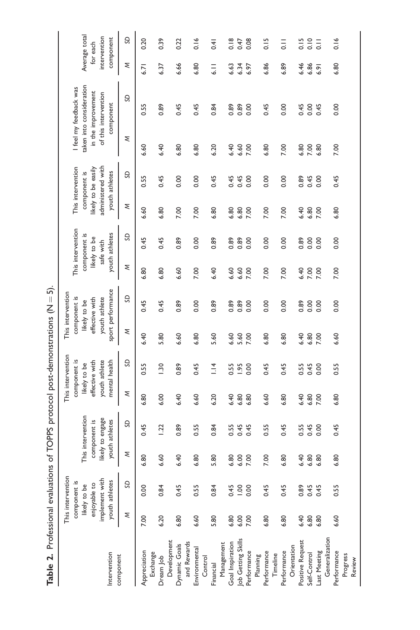| $\frac{1}{7}$               |
|-----------------------------|
|                             |
|                             |
|                             |
|                             |
|                             |
|                             |
|                             |
|                             |
|                             |
|                             |
|                             |
|                             |
|                             |
|                             |
| بالا متحضة طاحات والمستحيلة |
|                             |
|                             |
|                             |
|                             |
|                             |
| .<br>.<br>.<br>.            |
|                             |
|                             |
|                             |
|                             |
|                             |
| 112770                      |
|                             |
|                             |
|                             |
| :<br>;<br>;                 |
|                             |
|                             |
|                             |
|                             |
|                             |
|                             |
|                             |
|                             |
| i<br>.                      |
|                             |
|                             |
|                             |
|                             |

|                                             |      | This intervention              |      |                                  |      | This intervention               |      | This intervention               |      |                           |      |                                          |      |                                            |                          |                                                          |
|---------------------------------------------|------|--------------------------------|------|----------------------------------|------|---------------------------------|------|---------------------------------|------|---------------------------|------|------------------------------------------|------|--------------------------------------------|--------------------------|----------------------------------------------------------|
|                                             |      | component is                   |      |                                  |      | component is                    |      | component is                    |      | This intervention         |      | This intervention                        |      | I feel my feedback was                     |                          |                                                          |
|                                             |      | likely to be                   |      | This intervention                |      | likely to be                    |      | likely to be                    |      | component is              |      | component is                             |      | taken into consideration                   | Average total            |                                                          |
|                                             |      | implement with<br>enjoyable to |      | likely to engage<br>component is |      | youth athlete<br>effective with |      | youth athlete<br>effective with |      | likely to be<br>safe with |      | administered with<br>likely to be easily |      | in the improvement<br>of this intervention | intervention<br>for each |                                                          |
| Intervention                                |      | youth athletes                 |      | youth athletes                   |      | mental health                   |      | sport performance               |      | youth athletes            |      | youth athletes                           |      | component                                  | component                |                                                          |
| component                                   | Σ    | S                              | Σ    | SD                               | ξ    | SD                              | ξ    | SD                              | ξ    | SD                        | ξ    | SD                                       | ξ    | SD                                         | Σ                        | SD                                                       |
| Appreciation<br>Exchange                    | 7.00 | 0.00                           | 6.80 | 0.45                             | 6.80 | 0.55                            | 6.40 | 0.45                            | 6.80 | 0.45                      | 6.60 | 0.55                                     | 6.60 | 0.55                                       | 6.71                     | 0.20                                                     |
| Dream Job                                   | 6.20 | 0.84                           | 6.60 | 1.22                             | 6.00 | 1.30                            | 5.80 | 0.45                            | 6.80 | 0.45                      | 6.80 | 0.45                                     | 6.40 | 0.89                                       | 6.37                     | 0.39                                                     |
| Development<br>and Rewards<br>Dynamic Goals | 6.80 | 0.45                           | 6.40 | 0.89                             | 6.40 | 0.89                            | 6.60 | 0.89                            | 6.60 | 0.89                      | 7.00 | 0.00                                     | 6.80 | 0.45                                       | 6.66                     | 0.22                                                     |
| Environmental                               | 6.60 | 0.55                           | 6.80 | 0.55                             | 6.60 | 0.45                            | 6.80 | 0.00                            | 7.00 | 0.00                      | 7.00 | 0.00                                     | 6.80 | 0.45                                       | 6.80                     | 0.16                                                     |
| Control<br>Financial                        | 5.80 | 0.84                           | 5.80 | 0.84                             | 6.20 | 1.14                            | 5.60 | 0.89                            | 6.40 | 0.89                      | 6.80 | 0.45                                     | 6.20 | 0.84                                       | $\frac{1}{3}$            | 0.41                                                     |
| Management                                  |      |                                |      |                                  |      |                                 |      |                                 |      |                           |      |                                          |      |                                            |                          |                                                          |
| Goal Inspiration                            | 6.80 | 0.45                           | 6.80 | 0.55                             | 6.40 | 0.55                            | 6.60 | 0.89                            | 6.60 | 0.89                      | 6.80 | 0.45                                     | 6.40 | 0.89                                       | 6.63                     | 0.18                                                     |
| Job Getting Skills                          | 6.00 | $\frac{8}{1}$                  | 6.00 | 0.45                             | 6.80 | <b>1.95</b>                     | 5.60 | 0.89                            | 6.60 | 0.89                      | 6.80 | 0.45                                     | 6.60 | 0.89                                       | 6.34                     | 0.47                                                     |
| Performance                                 | 7.00 | 0.00                           | 7.00 | 0.45                             | 6.80 | 0.00                            | 7.00 | 0.00                            | 7.00 | 0.00                      | 7.00 | 0.00                                     | 7.00 | 0.00                                       | 6.97                     | 0.08                                                     |
| Performance<br>Planning                     | 6.80 | 0.45                           | 7.00 | 0.55                             | 6.60 | 0.45                            | 6.80 | 0.00                            | 7.00 | 0.00                      | 7.00 | 0.00                                     | 6.80 | 0.45                                       | 6.86                     | 0.15                                                     |
| Timeline                                    |      |                                |      |                                  |      |                                 |      |                                 |      |                           |      |                                          |      |                                            |                          |                                                          |
| Performance                                 | 6.80 | 0.45                           | 6.80 | 0.45                             | 6.80 | 0.45                            | 6.80 | 0.00                            | 7.00 | 0.00                      | 7.00 | 0.00                                     | 7.00 | 0.00                                       | 6.89                     | $\frac{1}{\circ}$                                        |
| Orientation                                 |      |                                |      |                                  |      |                                 |      |                                 |      |                           |      |                                          |      |                                            |                          |                                                          |
| Positive Request                            | 6.40 | 0.89                           | 6.40 | 0.55                             | 6.40 | 0.55                            | 6.40 | 0.89                            | 6.40 | 0.89                      | 6.40 | 0.89                                     | 6.80 | 0.45                                       | 6.46                     |                                                          |
| Self-Control                                | 6.80 | 0.45                           | 6.80 | 0.45                             | 6.80 | 0.45                            | 6.80 | 0.00                            | 7.00 | 0.00                      | 6.80 | 0.45                                     | 7.00 | 0.00                                       | 6.86                     | $\begin{array}{c}\n 15 \\ -2 \\ -1 \\ -1 \\ \end{array}$ |
| Last Meeting                                | 6.80 | 0.45                           | 6.80 | 0.00                             | 7.00 | 0.00                            | 7.00 | 0.00                            | 7.00 | 0.00                      | 7.00 | 0.00                                     | 6.80 | 0.45                                       | 6.91                     |                                                          |
| Generalization                              |      |                                |      |                                  |      |                                 |      |                                 |      |                           |      |                                          |      |                                            |                          |                                                          |
| Performance                                 | 6.60 | 0.55                           | 6.80 | 0.45                             | 6.80 | 0.55                            | 6.60 | 0.00                            | 7.00 | 0.00                      | 6.80 | 0.45                                     | 7.00 | 0.00                                       | 6.80                     | 0.16                                                     |
| Progress                                    |      |                                |      |                                  |      |                                 |      |                                 |      |                           |      |                                          |      |                                            |                          |                                                          |
| Review                                      |      |                                |      |                                  |      |                                 |      |                                 |      |                           |      |                                          |      |                                            |                          |                                                          |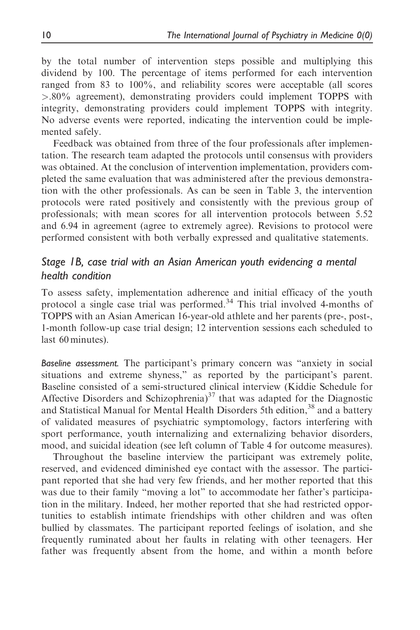by the total number of intervention steps possible and multiplying this dividend by 100. The percentage of items performed for each intervention ranged from 83 to 100%, and reliability scores were acceptable (all scores >.80% agreement), demonstrating providers could implement TOPPS with integrity, demonstrating providers could implement TOPPS with integrity. No adverse events were reported, indicating the intervention could be implemented safely.

Feedback was obtained from three of the four professionals after implementation. The research team adapted the protocols until consensus with providers was obtained. At the conclusion of intervention implementation, providers completed the same evaluation that was administered after the previous demonstration with the other professionals. As can be seen in Table 3, the intervention protocols were rated positively and consistently with the previous group of professionals; with mean scores for all intervention protocols between 5.52 and 6.94 in agreement (agree to extremely agree). Revisions to protocol were performed consistent with both verbally expressed and qualitative statements.

# Stage 1B, case trial with an Asian American youth evidencing a mental health condition

To assess safety, implementation adherence and initial efficacy of the youth protocol a single case trial was performed.<sup>34</sup> This trial involved 4-months of TOPPS with an Asian American 16-year-old athlete and her parents (pre-, post-, 1-month follow-up case trial design; 12 intervention sessions each scheduled to last 60 minutes).

Baseline assessment. The participant's primary concern was "anxiety in social situations and extreme shyness," as reported by the participant's parent. Baseline consisted of a semi-structured clinical interview (Kiddie Schedule for Affective Disorders and Schizophrenia) $37$  that was adapted for the Diagnostic and Statistical Manual for Mental Health Disorders 5th edition,<sup>38</sup> and a battery of validated measures of psychiatric symptomology, factors interfering with sport performance, youth internalizing and externalizing behavior disorders, mood, and suicidal ideation (see left column of Table 4 for outcome measures).

Throughout the baseline interview the participant was extremely polite, reserved, and evidenced diminished eye contact with the assessor. The participant reported that she had very few friends, and her mother reported that this was due to their family "moving a lot" to accommodate her father's participation in the military. Indeed, her mother reported that she had restricted opportunities to establish intimate friendships with other children and was often bullied by classmates. The participant reported feelings of isolation, and she frequently ruminated about her faults in relating with other teenagers. Her father was frequently absent from the home, and within a month before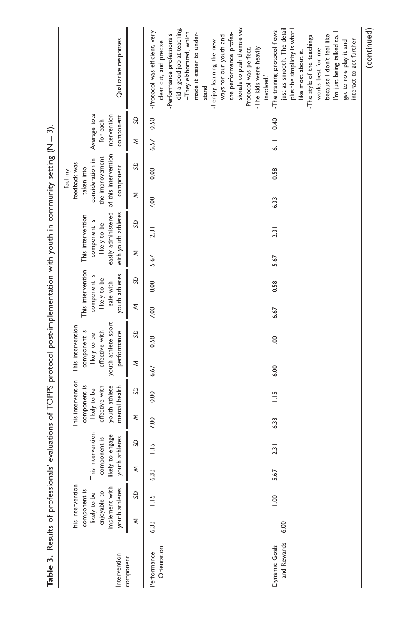| Table 3. Results of professionals' |      |                                                                                                       |        |                                                                  |      |                                                                                                       |      | evaluations of TOPPS protocol post-implementation with youth in community setting (N $=$ 3).              |      |                                                                                  |      |                                                                                                                      |      |                                                                                             |                                                        |      |                                                                                                                                                                                                                                                                                                                                                          |
|------------------------------------|------|-------------------------------------------------------------------------------------------------------|--------|------------------------------------------------------------------|------|-------------------------------------------------------------------------------------------------------|------|-----------------------------------------------------------------------------------------------------------|------|----------------------------------------------------------------------------------|------|----------------------------------------------------------------------------------------------------------------------|------|---------------------------------------------------------------------------------------------|--------------------------------------------------------|------|----------------------------------------------------------------------------------------------------------------------------------------------------------------------------------------------------------------------------------------------------------------------------------------------------------------------------------------------------------|
| Intervention<br>component          |      | This intervention<br>implement with<br>youth athletes<br>component is<br>enjoyable to<br>likely to be | likely | This intervention<br>to engage<br>youth athletes<br>component is |      | This intervention<br>youth athlete<br>component is<br>mental health<br>effective with<br>likely to be |      | youth athlete sport<br>This intervention<br>component is<br>effective with<br>performance<br>likely to be |      | This intervention<br>youth athletes<br>component is<br>likely to be<br>safe with |      | easily administered of this intervention<br>with youth athletes<br>This intervention<br>component is<br>likely to be |      | the improvement<br>consideration in<br>feedback was<br>component<br>taken into<br>I feel my | Average total<br>intervention<br>component<br>for each |      | Qualitative responses                                                                                                                                                                                                                                                                                                                                    |
|                                    | ξ    | SD                                                                                                    | ξ      | S                                                                | ξ    | SD                                                                                                    | ξ    | SD                                                                                                        | ξ    | SD                                                                               | ξ    | SD                                                                                                                   | ξ    | S                                                                                           | ξ                                                      | S    |                                                                                                                                                                                                                                                                                                                                                          |
| Orientation<br>Performance         | 6.33 | $\frac{1}{2}$                                                                                         | 6.33   | $\frac{15}{11}$                                                  | 7.00 | 0.00                                                                                                  | 6.67 | 0.58                                                                                                      | 7.00 | 0.00                                                                             | 5.67 | 2.31                                                                                                                 | 7.00 | 0.00                                                                                        | 6.57                                                   | 0.50 | did a good job at teaching.<br>sionals to push themselves<br>-Protocol was efficient, very<br>-They elaborated, which<br>the performance profes-<br>made it easier to under-<br>-Performance professionals<br>ways for our youth and<br>-I enjoy learning the new<br>clear cut, and precise<br>-The kids were heavily<br>-Protocol was perfect.<br>stand |
| and Rewards<br>Dynamic Goals       | 6.00 | $00 -$                                                                                                | 5.67   | 2.31                                                             | 6.33 | $\frac{1}{2}$                                                                                         | 6.00 | 00.1                                                                                                      | 6.67 | 0.58                                                                             | 5.67 | 2.31                                                                                                                 | 6.33 | 0.58                                                                                        | $\frac{1}{6}$                                          | 0.40 | -The training protocol flows<br>just as smooth. The detail<br>plus the simplicity is what<br>I'm just being talked to. I<br>because I don't feel like<br>-The style of the teachings<br>interact to get further<br>get to role play it and<br>works best for me<br>like most about it.<br>involved."                                                     |
|                                    |      |                                                                                                       |        |                                                                  |      |                                                                                                       |      |                                                                                                           |      |                                                                                  |      |                                                                                                                      |      |                                                                                             |                                                        |      | (continued)                                                                                                                                                                                                                                                                                                                                              |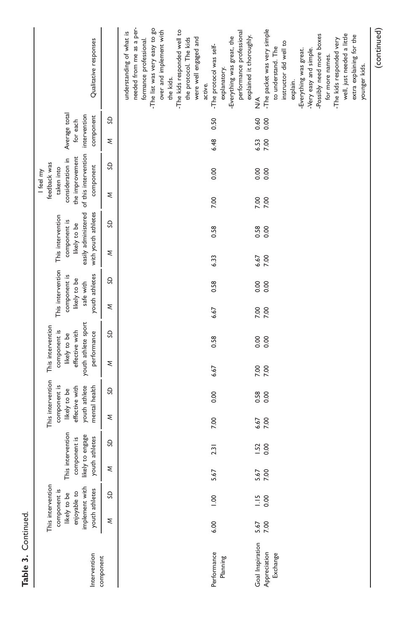| Intervention                                 |              | This intervention<br>implement with<br>youth athletes<br>component is<br>enjoyable to<br>likely to be | youth a      | This intervention<br>likely to engage<br>athletes<br>component is |              | This intervention<br>component is<br>youth athlete<br>effective with<br>mental health<br>likely to be |      | youth athlete sport<br>This intervention<br>component is<br>effective with<br>performance<br>likely to be |      | This intervention<br>youth athletes<br>component is<br>likely to be<br>safe with | with youth athletes<br>This intervention<br>component is<br>likely to be | easily administered |      | of this intervention<br>the improvement<br>consideration in<br>feedback was<br>component<br>taken into<br>I feel my | Average total<br>intervention<br>component<br>for each |              | Qualitative responses                                                                                                                                                                                                                                                                                                                          |
|----------------------------------------------|--------------|-------------------------------------------------------------------------------------------------------|--------------|-------------------------------------------------------------------|--------------|-------------------------------------------------------------------------------------------------------|------|-----------------------------------------------------------------------------------------------------------|------|----------------------------------------------------------------------------------|--------------------------------------------------------------------------|---------------------|------|---------------------------------------------------------------------------------------------------------------------|--------------------------------------------------------|--------------|------------------------------------------------------------------------------------------------------------------------------------------------------------------------------------------------------------------------------------------------------------------------------------------------------------------------------------------------|
| component                                    | ξ            | SD                                                                                                    | ξ            | S                                                                 | ξ            | SD                                                                                                    | ξ    | GS                                                                                                        | ξ    | SD                                                                               | ξ                                                                        | GS                  | ξ    | SD                                                                                                                  | ξ                                                      | S            |                                                                                                                                                                                                                                                                                                                                                |
|                                              |              |                                                                                                       |              |                                                                   |              |                                                                                                       |      |                                                                                                           |      |                                                                                  |                                                                          |                     |      |                                                                                                                     |                                                        |              | needed from me as a per-<br>-The list was very easy to go<br>-The kids responded well to<br>over and implement with<br>understanding of what is<br>the protocol. The kids<br>were well engaged and<br>formance professional.<br>the kids.                                                                                                      |
| Performance<br>Planning                      | 6.00         | 0.001                                                                                                 | 5.67         | 2.31                                                              | 7.00         | 0.00                                                                                                  | 6.67 | 0.58                                                                                                      | 6.67 | 0.58                                                                             | 6.33                                                                     | 0.58                | 7.00 | 0.00                                                                                                                | 6.48                                                   | 0.50         | performance professional<br>Everything was great, the<br>-The protocol was self-<br>explanatory.<br>active.                                                                                                                                                                                                                                    |
| Goal Inspiration<br>Appreciation<br>Exchange | 5.67<br>7.00 | $\frac{15}{0.00}$                                                                                     | 5.67<br>7.00 | 1.52<br>0.00                                                      | 6.67<br>7.00 | 0.58<br>0.00                                                                                          | 7.00 | 0.00<br>0.00                                                                                              | 7.00 | 0.00<br>0.00                                                                     | 7.00<br>6.67                                                             | 0.58                | 7.00 | 0.00<br>0.00                                                                                                        | 6.53<br>7.00                                           | 0.60<br>0.00 | -The packet was very simple<br>well, just needed a little<br>-Possibly need more boxes<br>extra explaining for the<br>explained it thoroughly.<br>-The kids responded very<br>instructor did well to<br>to understand. The<br>-Very easy and simple.<br>Everything was great.<br>for more names.<br>younger kids.<br>explain.<br>$\frac{1}{2}$ |
|                                              |              |                                                                                                       |              |                                                                   |              |                                                                                                       |      |                                                                                                           |      |                                                                                  |                                                                          |                     |      |                                                                                                                     |                                                        |              | (continued)                                                                                                                                                                                                                                                                                                                                    |

Table 3. Continued.

Table 3. Continued.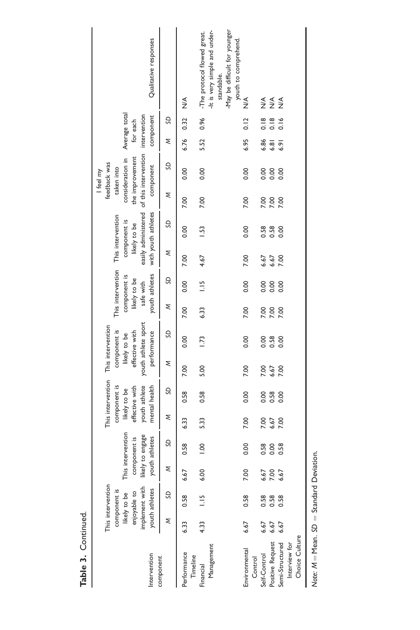| Qualitative responses                                                                                               |           |                         | -tt is very simple and under-<br>-May be difficult for younger<br>-The protocol flowed great.<br>standable. | youth to comprehend. |                         |                  |                                  |                |  |
|---------------------------------------------------------------------------------------------------------------------|-----------|-------------------------|-------------------------------------------------------------------------------------------------------------|----------------------|-------------------------|------------------|----------------------------------|----------------|--|
|                                                                                                                     |           | $\frac{4}{2}$           |                                                                                                             | ∖<br>N∕              | ≸                       | $\frac{1}{2}$    | $\frac{1}{2}$                    |                |  |
| component<br>for each                                                                                               | SD        | 0.32                    | 0.96                                                                                                        | 0.12                 | 0.18                    | 0.18             | 0.16                             |                |  |
| Average total<br>intervention                                                                                       | ξ         | 6.76                    | 5.52                                                                                                        | 6.95                 | 6.86                    | 6.81             | 6.91                             |                |  |
| of this intervention<br>the improvement<br>consideration in<br>feedback was<br>component<br>taken into<br>I feel my | SD        | 0.00                    | 0.00                                                                                                        | 0.00                 | 0.00                    | 0.00             | 0.00                             |                |  |
|                                                                                                                     | Σ         | 7.00                    | 7.00                                                                                                        | 7.00                 | 7.00                    | 7.00             | 7.00                             |                |  |
| easily administered<br>with youth athletes<br>This intervention<br>component is<br>likely to be                     | SD        | 0.00                    | 1.53                                                                                                        | 0.00                 | 0.58                    | 0.58             | 0.00                             |                |  |
|                                                                                                                     | ξ         | 7.00                    | 4.67                                                                                                        | 7.00                 | 6.67                    | 6.67             | 7.00                             |                |  |
| This intervention<br>youth athletes<br>component is<br>likely to be<br>safe with                                    | SD        | 0.00                    | $\frac{5}{1}$                                                                                               | 0.00                 | 0.00                    | 0.00             | 0.00                             |                |  |
|                                                                                                                     | Σ         | 7.00                    | 6.33                                                                                                        | 7.00                 | 7.00                    | 7.00             | 7.00                             |                |  |
| youth athlete sport<br>This intervention<br>component is<br>effective with<br>performance<br>likely to be           | SD        | 0.00                    | $\overline{.73}$                                                                                            | 0.00                 | 0.00                    | 0.58             | 0.00                             |                |  |
|                                                                                                                     | ξ         | 7.00                    | 5.00                                                                                                        | 7.00                 | 7.00                    | 6.67             | 7.00                             |                |  |
| This intervention<br>component is<br>youth athlete<br>mental health<br>effective with<br>likely to be               | SD        | 0.58                    | 0.58                                                                                                        | 0.00                 | 0.00                    | 0.58             | 0.00                             |                |  |
|                                                                                                                     | Σ         | 6.33                    | 5.33                                                                                                        | 7.00                 | 7.00                    | 6.67             | 7.00                             |                |  |
| This intervention<br>to engage<br>athletes<br>component is                                                          | S         | 0.58                    | $\frac{0}{100}$                                                                                             | 0.00                 | 0.58                    | 0.00             | 0.58                             |                |  |
| youth<br>likely 1                                                                                                   | ξ         | 6.67                    | 6.00                                                                                                        | <b>P.OO</b>          | 6.67                    | 7.00             | 6.67                             |                |  |
| implement with<br>This intervention<br>youth athletes<br>likely to be<br>component is<br>enjoyable to               | SD        | 0.58                    | $\frac{1}{2}$                                                                                               | 0.58                 | 0.58                    | 0.58             | 0.58                             |                |  |
|                                                                                                                     | Σ         | 6.33                    | 4.33                                                                                                        | 6.67                 | 6.67                    | 6.67             | 6.67                             |                |  |
| Intervention                                                                                                        | component | Performance<br>Timeline | Management<br>Financial                                                                                     | Environmental        | Control<br>Self-Control | Positive Request | Semi-Structured<br>Interview for | Choice Culture |  |

Note:  $M = Mean$ . SD = Standard Deviation. Note:  $M = Mean$ .  $SD = Standard Deviation$ .

Table 3. Continued. Table 3. Continued.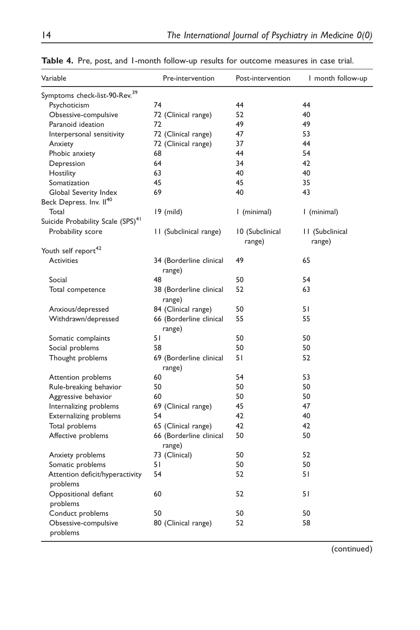| Variable                                            | Pre-intervention                  | Post-intervention | I month follow-up |
|-----------------------------------------------------|-----------------------------------|-------------------|-------------------|
| Symptoms check-list-90-Rev. <sup>39</sup>           |                                   |                   |                   |
| Psychoticism                                        | 74                                | 44                | 44                |
| Obsessive-compulsive                                | 72 (Clinical range)               | 52                | 40                |
| Paranoid ideation                                   | 72                                | 49                | 49                |
| Interpersonal sensitivity                           | 72 (Clinical range)               | 47                | 53                |
| Anxiety                                             | 72 (Clinical range)               | 37                | 44                |
| Phobic anxiety                                      | 68                                | 44                | 54                |
| Depression                                          | 64                                | 34                | 42                |
| Hostility                                           | 63                                | 40                | 40                |
| Somatization                                        | 45                                | 45                | 35                |
| Global Severity Index                               | 69                                | 40                | 43                |
| Beck Depress. Inv. II <sup>40</sup>                 |                                   |                   |                   |
| Total                                               | $19$ (mild)                       | I (minimal)       | I (minimal)       |
| Suicide Probability Scale (SPS) <sup>41</sup>       |                                   |                   |                   |
| Probability score                                   | 11 (Subclinical range)            | 10 (Subclinical   | 11 (Subclinical   |
|                                                     |                                   | range)            | range)            |
| Youth self report <sup>42</sup>                     |                                   |                   |                   |
| <b>Activities</b>                                   | 34 (Borderline clinical<br>range) | 49                | 65                |
| Social                                              | 48                                | 50                | 54                |
| Total competence                                    | 38 (Borderline clinical<br>range) | 52                | 63                |
| Anxious/depressed                                   | 84 (Clinical range)               | 50                | 51                |
| Withdrawn/depressed                                 | 66 (Borderline clinical<br>range) | 55                | 55                |
| Somatic complaints                                  | 51                                | 50                | 50                |
| Social problems                                     | 58                                | 50                | 50                |
| Thought problems                                    | 69 (Borderline clinical<br>range) | 51                | 52                |
| Attention problems                                  | 60                                | 54                | 53                |
| Rule-breaking behavior                              | 50                                | 50                | 50                |
| Aggressive behavior                                 | 60                                | 50                | 50                |
| Internalizing problems                              | 69 (Clinical range)               | 45                | 47                |
| <b>Externalizing problems</b>                       | 54                                | 42                | 40                |
| Total problems                                      | 65 (Clinical range)               | 42                | 42                |
| Affective problems                                  | 66 (Borderline clinical<br>range) | 50                | 50                |
|                                                     | 73 (Clinical)                     | 50                | 52                |
| Anxiety problems                                    |                                   | 50                | 50                |
| Somatic problems<br>Attention deficit/hyperactivity | 51<br>54                          | 52                | 51                |
| problems                                            |                                   |                   |                   |
| Oppositional defiant                                | 60                                | 52                | 51                |
| problems                                            |                                   |                   |                   |
| Conduct problems                                    | 50                                | 50                | 50                |
| Obsessive-compulsive                                | 80 (Clinical range)               | 52                | 58                |
| problems                                            |                                   |                   |                   |

Table 4. Pre, post, and 1-month follow-up results for outcome measures in case trial.

(continued)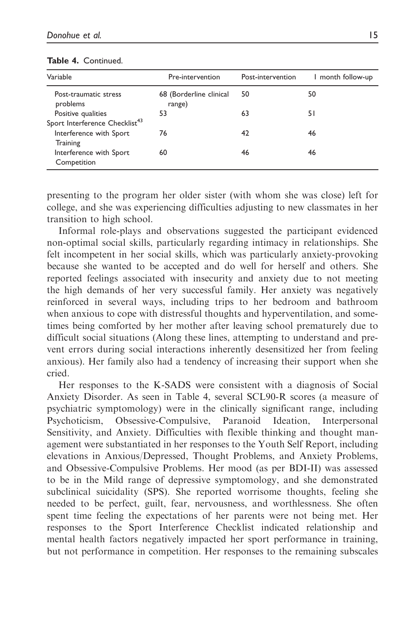| Variable                                                         | Pre-intervention                  | Post-intervention | I month follow-up |
|------------------------------------------------------------------|-----------------------------------|-------------------|-------------------|
| Post-traumatic stress<br>problems                                | 68 (Borderline clinical<br>range) | 50                | 50                |
| Positive qualities<br>Sport Interference Checklist <sup>43</sup> | 53                                | 63                | 51                |
| Interference with Sport<br>Training                              | 76                                | 42                | 46                |
| Interference with Sport<br>Competition                           | 60                                | 46                | 46                |

### Table 4. Continued.

presenting to the program her older sister (with whom she was close) left for college, and she was experiencing difficulties adjusting to new classmates in her transition to high school.

Informal role-plays and observations suggested the participant evidenced non-optimal social skills, particularly regarding intimacy in relationships. She felt incompetent in her social skills, which was particularly anxiety-provoking because she wanted to be accepted and do well for herself and others. She reported feelings associated with insecurity and anxiety due to not meeting the high demands of her very successful family. Her anxiety was negatively reinforced in several ways, including trips to her bedroom and bathroom when anxious to cope with distressful thoughts and hyperventilation, and sometimes being comforted by her mother after leaving school prematurely due to difficult social situations (Along these lines, attempting to understand and prevent errors during social interactions inherently desensitized her from feeling anxious). Her family also had a tendency of increasing their support when she cried.

Her responses to the K-SADS were consistent with a diagnosis of Social Anxiety Disorder. As seen in Table 4, several SCL90-R scores (a measure of psychiatric symptomology) were in the clinically significant range, including Psychoticism, Obsessive-Compulsive, Paranoid Ideation, Interpersonal Sensitivity, and Anxiety. Difficulties with flexible thinking and thought management were substantiated in her responses to the Youth Self Report, including elevations in Anxious/Depressed, Thought Problems, and Anxiety Problems, and Obsessive-Compulsive Problems. Her mood (as per BDI-II) was assessed to be in the Mild range of depressive symptomology, and she demonstrated subclinical suicidality (SPS). She reported worrisome thoughts, feeling she needed to be perfect, guilt, fear, nervousness, and worthlessness. She often spent time feeling the expectations of her parents were not being met. Her responses to the Sport Interference Checklist indicated relationship and mental health factors negatively impacted her sport performance in training, but not performance in competition. Her responses to the remaining subscales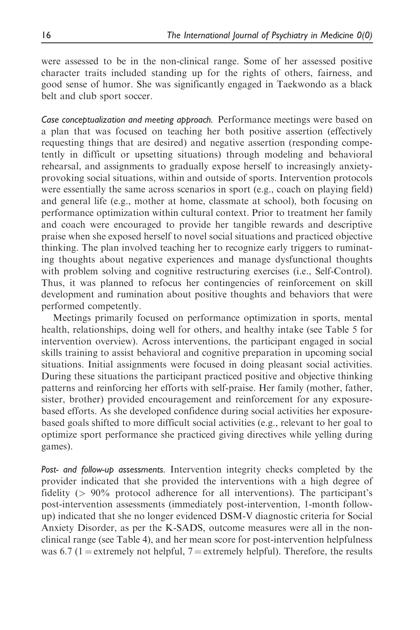were assessed to be in the non-clinical range. Some of her assessed positive character traits included standing up for the rights of others, fairness, and good sense of humor. She was significantly engaged in Taekwondo as a black belt and club sport soccer.

Case conceptualization and meeting approach. Performance meetings were based on a plan that was focused on teaching her both positive assertion (effectively requesting things that are desired) and negative assertion (responding competently in difficult or upsetting situations) through modeling and behavioral rehearsal, and assignments to gradually expose herself to increasingly anxietyprovoking social situations, within and outside of sports. Intervention protocols were essentially the same across scenarios in sport (e.g., coach on playing field) and general life (e.g., mother at home, classmate at school), both focusing on performance optimization within cultural context. Prior to treatment her family and coach were encouraged to provide her tangible rewards and descriptive praise when she exposed herself to novel social situations and practiced objective thinking. The plan involved teaching her to recognize early triggers to ruminating thoughts about negative experiences and manage dysfunctional thoughts with problem solving and cognitive restructuring exercises (i.e., Self-Control). Thus, it was planned to refocus her contingencies of reinforcement on skill development and rumination about positive thoughts and behaviors that were performed competently.

Meetings primarily focused on performance optimization in sports, mental health, relationships, doing well for others, and healthy intake (see Table 5 for intervention overview). Across interventions, the participant engaged in social skills training to assist behavioral and cognitive preparation in upcoming social situations. Initial assignments were focused in doing pleasant social activities. During these situations the participant practiced positive and objective thinking patterns and reinforcing her efforts with self-praise. Her family (mother, father, sister, brother) provided encouragement and reinforcement for any exposurebased efforts. As she developed confidence during social activities her exposurebased goals shifted to more difficult social activities (e.g., relevant to her goal to optimize sport performance she practiced giving directives while yelling during games).

Post- and follow-up assessments. Intervention integrity checks completed by the provider indicated that she provided the interventions with a high degree of fidelity  $(> 90\%$  protocol adherence for all interventions). The participant's post-intervention assessments (immediately post-intervention, 1-month followup) indicated that she no longer evidenced DSM-V diagnostic criteria for Social Anxiety Disorder, as per the K-SADS, outcome measures were all in the nonclinical range (see Table 4), and her mean score for post-intervention helpfulness was 6.7 (1 = extremely not helpful,  $7$  = extremely helpful). Therefore, the results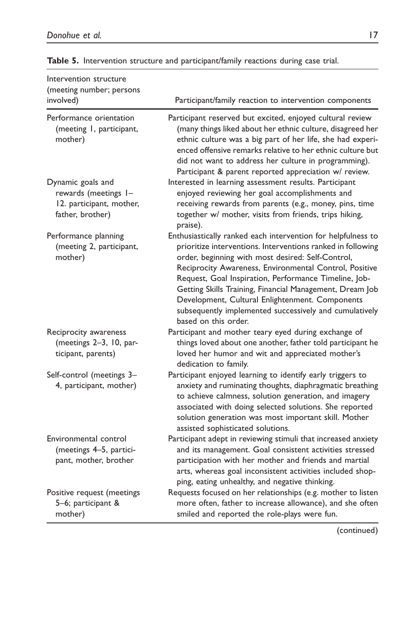| Intervention structure<br>(meeting number; persons                                        |                                                                                                                                                                                                                                                                                                                                                                                                                                                                                                      |
|-------------------------------------------------------------------------------------------|------------------------------------------------------------------------------------------------------------------------------------------------------------------------------------------------------------------------------------------------------------------------------------------------------------------------------------------------------------------------------------------------------------------------------------------------------------------------------------------------------|
| involved)                                                                                 | Participant/family reaction to intervention components                                                                                                                                                                                                                                                                                                                                                                                                                                               |
| Performance orientation<br>(meeting 1, participant,<br>mother)                            | Participant reserved but excited, enjoyed cultural review<br>(many things liked about her ethnic culture, disagreed her<br>ethnic culture was a big part of her life, she had experi-<br>enced offensive remarks relative to her ethnic culture but<br>did not want to address her culture in programming).<br>Participant & parent reported appreciation w/ review.                                                                                                                                 |
| Dynamic goals and<br>rewards (meetings I-<br>12. participant, mother,<br>father, brother) | Interested in learning assessment results. Participant<br>enjoyed reviewing her goal accomplishments and<br>receiving rewards from parents (e.g., money, pins, time<br>together w/ mother, visits from friends, trips hiking,<br>praise).                                                                                                                                                                                                                                                            |
| Performance planning<br>(meeting 2, participant,<br>mother)                               | Enthusiastically ranked each intervention for helpfulness to<br>prioritize interventions. Interventions ranked in following<br>order, beginning with most desired: Self-Control,<br>Reciprocity Awareness, Environmental Control, Positive<br>Request, Goal Inspiration, Performance Timeline, Job-<br>Getting Skills Training, Financial Management, Dream Job<br>Development, Cultural Enlightenment. Components<br>subsequently implemented successively and cumulatively<br>based on this order. |
| Reciprocity awareness<br>(meetings 2-3, 10, par-<br>ticipant, parents)                    | Participant and mother teary eyed during exchange of<br>things loved about one another, father told participant he<br>loved her humor and wit and appreciated mother's<br>dedication to family.                                                                                                                                                                                                                                                                                                      |
| Self-control (meetings 3-<br>4, participant, mother)                                      | Participant enjoyed learning to identify early triggers to<br>anxiety and ruminating thoughts, diaphragmatic breathing<br>to achieve calmness, solution generation, and imagery<br>associated with doing selected solutions. She reported<br>solution generation was most important skill. Mother<br>assisted sophisticated solutions.                                                                                                                                                               |
| Environmental control<br>(meetings 4-5, partici-<br>pant, mother, brother                 | Participant adept in reviewing stimuli that increased anxiety<br>and its management. Goal consistent activities stressed<br>participation with her mother and friends and martial<br>arts, whereas goal inconsistent activities included shop-<br>ping, eating unhealthy, and negative thinking.                                                                                                                                                                                                     |
| Positive request (meetings<br>5-6; participant &<br>mother)                               | Requests focused on her relationships (e.g. mother to listen<br>more often, father to increase allowance), and she often<br>smiled and reported the role-plays were fun.                                                                                                                                                                                                                                                                                                                             |

Table 5. Intervention structure and participant/family reactions during case trial.

(continued)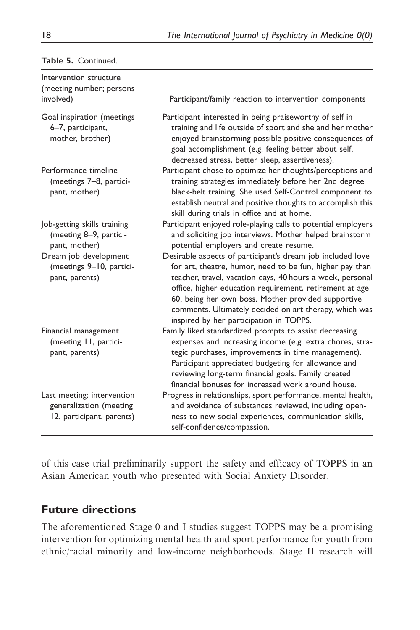| Intervention structure<br>(meeting number; persons<br>involved)                    | Participant/family reaction to intervention components                                                                                                                                                                                                                                                                                                                                                    |
|------------------------------------------------------------------------------------|-----------------------------------------------------------------------------------------------------------------------------------------------------------------------------------------------------------------------------------------------------------------------------------------------------------------------------------------------------------------------------------------------------------|
| Goal inspiration (meetings<br>6-7, participant,<br>mother, brother)                | Participant interested in being praiseworthy of self in<br>training and life outside of sport and she and her mother<br>enjoyed brainstorming possible positive consequences of<br>goal accomplishment (e.g. feeling better about self,<br>decreased stress, better sleep, assertiveness).                                                                                                                |
| Performance timeline<br>(meetings 7-8, partici-<br>pant, mother)                   | Participant chose to optimize her thoughts/perceptions and<br>training strategies immediately before her 2nd degree<br>black-belt training. She used Self-Control component to<br>establish neutral and positive thoughts to accomplish this<br>skill during trials in office and at home.                                                                                                                |
| Job-getting skills training<br>(meeting 8-9, partici-<br>pant, mother)             | Participant enjoyed role-playing calls to potential employers<br>and soliciting job interviews. Mother helped brainstorm<br>potential employers and create resume.                                                                                                                                                                                                                                        |
| Dream job development<br>(meetings 9-10, partici-<br>pant, parents)                | Desirable aspects of participant's dream job included love<br>for art, theatre, humor, need to be fun, higher pay than<br>teacher, travel, vacation days, 40 hours a week, personal<br>office, higher education requirement, retirement at age<br>60, being her own boss. Mother provided supportive<br>comments. Ultimately decided on art therapy, which was<br>inspired by her participation in TOPPS. |
| Financial management<br>(meeting 11, partici-<br>pant, parents)                    | Family liked standardized prompts to assist decreasing<br>expenses and increasing income (e.g. extra chores, stra-<br>tegic purchases, improvements in time management).<br>Participant appreciated budgeting for allowance and<br>reviewing long-term financial goals. Family created<br>financial bonuses for increased work around house.                                                              |
| Last meeting: intervention<br>generalization (meeting<br>12, participant, parents) | Progress in relationships, sport performance, mental health,<br>and avoidance of substances reviewed, including open-<br>ness to new social experiences, communication skills,<br>self-confidence/compassion.                                                                                                                                                                                             |

### Table 5. Continued.

of this case trial preliminarily support the safety and efficacy of TOPPS in an Asian American youth who presented with Social Anxiety Disorder.

# Future directions

The aforementioned Stage 0 and I studies suggest TOPPS may be a promising intervention for optimizing mental health and sport performance for youth from ethnic/racial minority and low-income neighborhoods. Stage II research will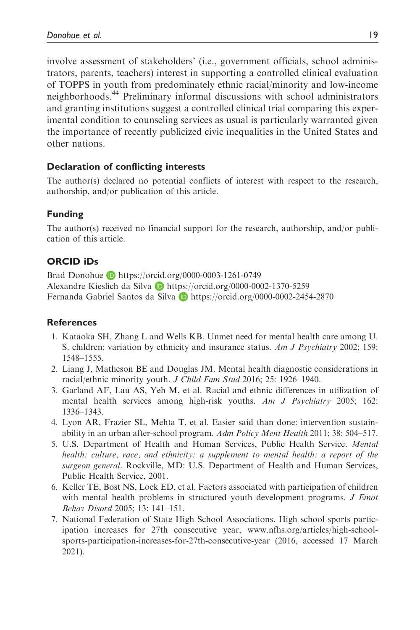involve assessment of stakeholders' (i.e., government officials, school administrators, parents, teachers) interest in supporting a controlled clinical evaluation of TOPPS in youth from predominately ethnic racial/minority and low-income neighborhoods.<sup>44</sup> Preliminary informal discussions with school administrators and granting institutions suggest a controlled clinical trial comparing this experimental condition to counseling services as usual is particularly warranted given the importance of recently publicized civic inequalities in the United States and other nations.

### Declaration of conflicting interests

The author(s) declared no potential conflicts of interest with respect to the research, authorship, and/or publication of this article.

### Funding

The author(s) received no financial support for the research, authorship, and/or publication of this article.

### ORCID iDs

Brad Donohue **b** <https://orcid.org/0000-0003-1261-0749> Alexandre Kieslich da Silva **b** <https://orcid.org/0000-0002-1370-5259> Fernanda Gabriel Santos da Silva D <https://orcid.org/0000-0002-2454-2870>

### **References**

- 1. Kataoka SH, Zhang L and Wells KB. Unmet need for mental health care among U. S. children: variation by ethnicity and insurance status. Am J Psychiatry 2002; 159: 1548–1555.
- 2. Liang J, Matheson BE and Douglas JM. Mental health diagnostic considerations in racial/ethnic minority youth. J Child Fam Stud 2016; 25: 1926–1940.
- 3. Garland AF, Lau AS, Yeh M, et al. Racial and ethnic differences in utilization of mental health services among high-risk youths. Am J Psychiatry 2005; 162: 1336–1343.
- 4. Lyon AR, Frazier SL, Mehta T, et al. Easier said than done: intervention sustainability in an urban after-school program. Adm Policy Ment Health 2011; 38: 504–517.
- 5. U.S. Department of Health and Human Services, Public Health Service. Mental health: culture, race, and ethnicity: a supplement to mental health: a report of the surgeon general. Rockville, MD: U.S. Department of Health and Human Services, Public Health Service, 2001.
- 6. Keller TE, Bost NS, Lock ED, et al. Factors associated with participation of children with mental health problems in structured youth development programs. *J Emot* Behav Disord 2005; 13: 141–151.
- 7. National Federation of State High School Associations. High school sports participation increases for 27th consecutive year, [www.nfhs.org/articles/high-school](http://www.nfhs.org/articles/high-school-sports-participation-increases-for-27th-consecutive-year)[sports-participation-increases-for-27th-consecutive-year](http://www.nfhs.org/articles/high-school-sports-participation-increases-for-27th-consecutive-year) (2016, accessed 17 March 2021).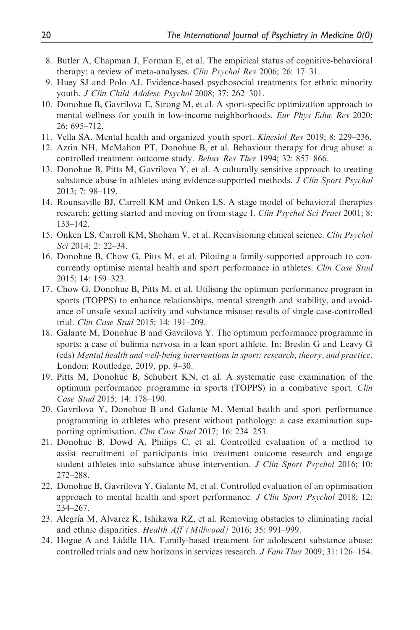- 8. Butler A, Chapman J, Forman E, et al. The empirical status of cognitive-behavioral therapy: a review of meta-analyses. Clin Psychol Rev 2006; 26: 17–31.
- 9. Huey SJ and Polo AJ. Evidence-based psychosocial treatments for ethnic minority youth. J Clin Child Adolesc Psychol 2008; 37: 262–301.
- 10. Donohue B, Gavrilova E, Strong M, et al. A sport-specific optimization approach to mental wellness for youth in low-income neighborhoods. Eur Phys Educ Rev 2020; 26: 695–712.
- 11. Vella SA. Mental health and organized youth sport. Kinesiol Rev 2019; 8: 229–236.
- 12. Azrin NH, McMahon PT, Donohue B, et al. Behaviour therapy for drug abuse: a controlled treatment outcome study. Behav Res Ther 1994; 32: 857–866.
- 13. Donohue B, Pitts M, Gavrilova Y, et al. A culturally sensitive approach to treating substance abuse in athletes using evidence-supported methods. J Clin Sport Psychol 2013; 7: 98–119.
- 14. Rounsaville BJ, Carroll KM and Onken LS. A stage model of behavioral therapies research: getting started and moving on from stage I. Clin Psychol Sci Pract 2001; 8: 133–142.
- 15. Onken LS, Carroll KM, Shoham V, et al. Reenvisioning clinical science. Clin Psychol Sci 2014; 2: 22–34.
- 16. Donohue B, Chow G, Pitts M, et al. Piloting a family-supported approach to concurrently optimise mental health and sport performance in athletes. Clin Case Stud 2015; 14: 159–323.
- 17. Chow G, Donohue B, Pitts M, et al. Utilising the optimum performance program in sports (TOPPS) to enhance relationships, mental strength and stability, and avoidance of unsafe sexual activity and substance misuse: results of single case-controlled trial. Clin Case Stud 2015; 14: 191–209.
- 18. Galante M, Donohue B and Gavrilova Y. The optimum performance programme in sports: a case of bulimia nervosa in a lean sport athlete. In: Breslin G and Leavy G (eds) Mental health and well-being interventions in sport: research, theory, and practice. London: Routledge, 2019, pp. 9–30.
- 19. Pitts M, Donohue B, Schubert KN, et al. A systematic case examination of the optimum performance programme in sports (TOPPS) in a combative sport. Clin Case Stud 2015; 14: 178–190.
- 20. Gavrilova Y, Donohue B and Galante M. Mental health and sport performance programming in athletes who present without pathology: a case examination supporting optimisation. Clin Case Stud 2017; 16: 234–253.
- 21. Donohue B, Dowd A, Philips C, et al. Controlled evaluation of a method to assist recruitment of participants into treatment outcome research and engage student athletes into substance abuse intervention. J Clin Sport Psychol 2016; 10: 272–288.
- 22. Donohue B, Gavrilova Y, Galante M, et al. Controlled evaluation of an optimisation approach to mental health and sport performance. J Clin Sport Psychol 2018; 12: 234–267.
- 23. Alegría M, Alvarez K, Ishikawa RZ, et al. Removing obstacles to eliminating racial and ethnic disparities. Health Aff (Millwood) 2016; 35: 991–999.
- 24. Hogue A and Liddle HA. Family-based treatment for adolescent substance abuse: controlled trials and new horizons in services research. J Fam Ther 2009; 31: 126–154.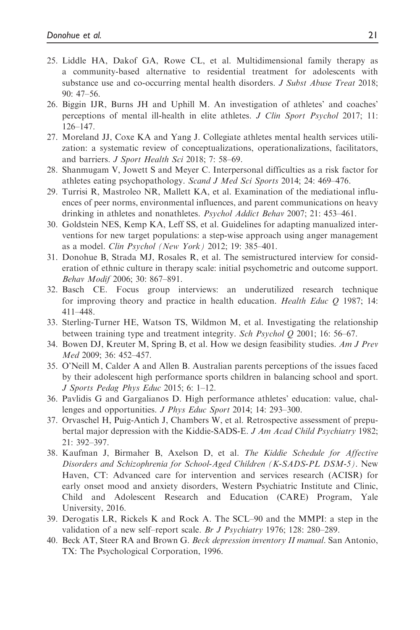- 25. Liddle HA, Dakof GA, Rowe CL, et al. Multidimensional family therapy as a community-based alternative to residential treatment for adolescents with substance use and co-occurring mental health disorders. *J Subst Abuse Treat* 2018; 90: 47–56.
- 26. Biggin IJR, Burns JH and Uphill M. An investigation of athletes' and coaches' perceptions of mental ill-health in elite athletes. J Clin Sport Psychol 2017; 11: 126–147.
- 27. Moreland JJ, Coxe KA and Yang J. Collegiate athletes mental health services utilization: a systematic review of conceptualizations, operationalizations, facilitators, and barriers. J Sport Health Sci 2018; 7: 58–69.
- 28. Shanmugam V, Jowett S and Meyer C. Interpersonal difficulties as a risk factor for athletes eating psychopathology. Scand J Med Sci Sports 2014; 24: 469–476.
- 29. Turrisi R, Mastroleo NR, Mallett KA, et al. Examination of the mediational influences of peer norms, environmental influences, and parent communications on heavy drinking in athletes and nonathletes. Psychol Addict Behav 2007; 21: 453–461.
- 30. Goldstein NES, Kemp KA, Leff SS, et al. Guidelines for adapting manualized interventions for new target populations: a step-wise approach using anger management as a model. Clin Psychol (New York) 2012; 19: 385–401.
- 31. Donohue B, Strada MJ, Rosales R, et al. The semistructured interview for consideration of ethnic culture in therapy scale: initial psychometric and outcome support. Behav Modif 2006; 30: 867–891.
- 32. Basch CE. Focus group interviews: an underutilized research technique for improving theory and practice in health education. Health Educ Q 1987; 14: 411–448.
- 33. Sterling-Turner HE, Watson TS, Wildmon M, et al. Investigating the relationship between training type and treatment integrity. Sch Psychol Q 2001; 16: 56–67.
- 34. Bowen DJ, Kreuter M, Spring B, et al. How we design feasibility studies. Am J Prev Med 2009; 36: 452–457.
- 35. O'Neill M, Calder A and Allen B. Australian parents perceptions of the issues faced by their adolescent high performance sports children in balancing school and sport. J Sports Pedag Phys Educ 2015; 6: 1–12.
- 36. Pavlidis G and Gargalianos D. High performance athletes' education: value, challenges and opportunities. J Phys Educ Sport 2014; 14: 293-300.
- 37. Orvaschel H, Puig-Antich J, Chambers W, et al. Retrospective assessment of prepubertal major depression with the Kiddie-SADS-E. J Am Acad Child Psychiatry 1982; 21: 392–397.
- 38. Kaufman J, Birmaher B, Axelson D, et al. The Kiddie Schedule for Affective Disorders and Schizophrenia for School-Aged Children (K-SADS-PL DSM-5). New Haven, CT: Advanced care for intervention and services research (ACISR) for early onset mood and anxiety disorders, Western Psychiatric Institute and Clinic, Child and Adolescent Research and Education (CARE) Program, Yale University, 2016.
- 39. Derogatis LR, Rickels K and Rock A. The SCL–90 and the MMPI: a step in the validation of a new self–report scale. Br J Psychiatry 1976; 128: 280–289.
- 40. Beck AT, Steer RA and Brown G. Beck depression inventory II manual. San Antonio, TX: The Psychological Corporation, 1996.